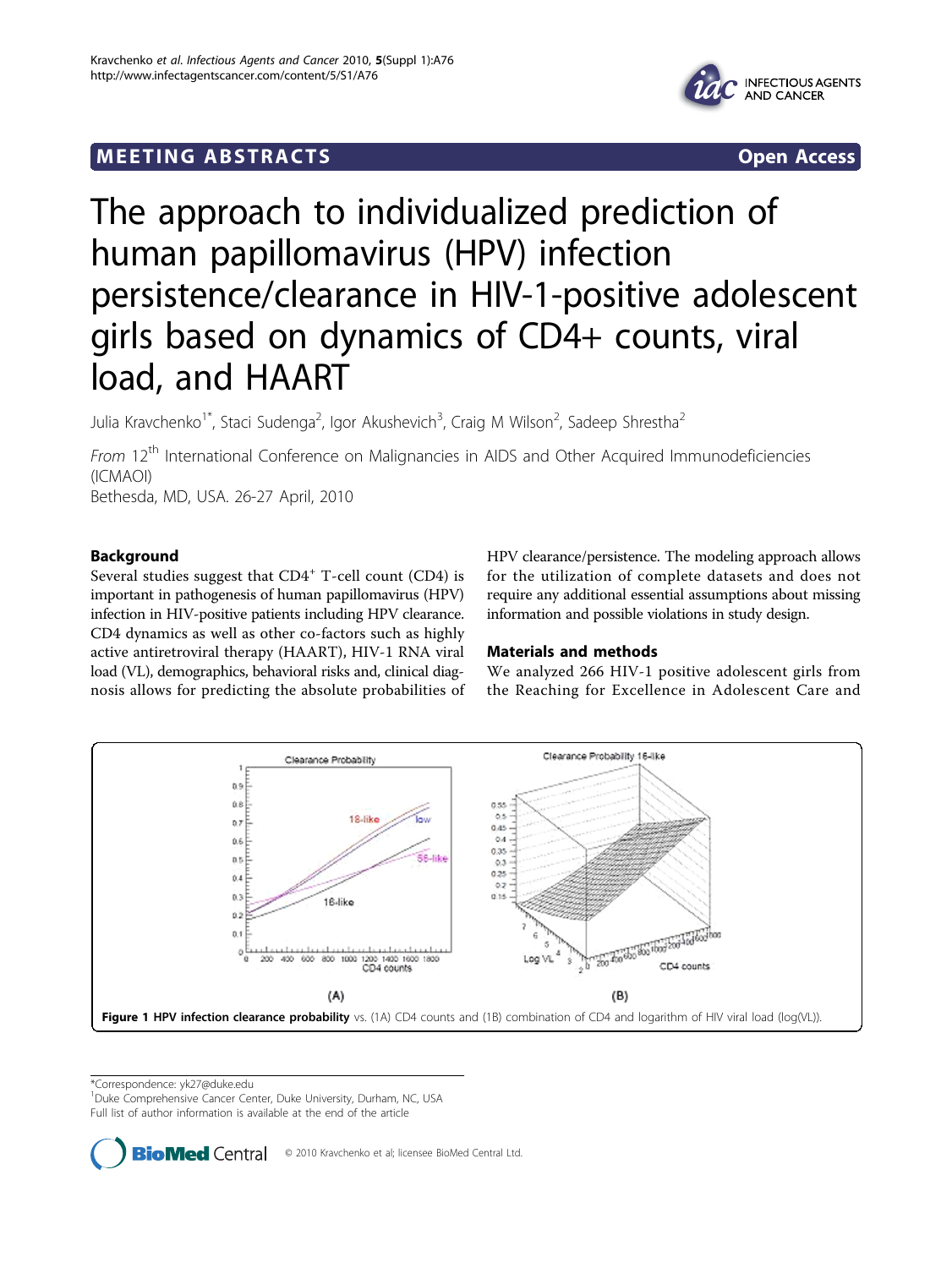# <span id="page-0-0"></span>**MEETING ABSTRACTS** And the state of the state of the state of the state of the state of the state of the state of the state of the state of the state of the state of the state of the state of the state of the state of the





# The approach to individualized prediction of human papillomavirus (HPV) infection persistence/clearance in HIV-1-positive adolescent girls based on dynamics of CD4+ counts, viral load, and HAART

Julia Kravchenko<sup>1\*</sup>, Staci Sudenga<sup>2</sup>, Igor Akushevich<sup>3</sup>, Craig M Wilson<sup>2</sup>, Sadeep Shrestha<sup>2</sup>

From 12<sup>th</sup> International Conference on Malignancies in AIDS and Other Acquired Immunodeficiencies (ICMAOI) Bethesda, MD, USA. 26-27 April, 2010

Background

Several studies suggest that CD4<sup>+</sup> T-cell count (CD4) is important in pathogenesis of human papillomavirus (HPV) infection in HIV-positive patients including HPV clearance. CD4 dynamics as well as other co-factors such as highly active antiretroviral therapy (HAART), HIV-1 RNA viral load (VL), demographics, behavioral risks and, clinical diagnosis allows for predicting the absolute probabilities of HPV clearance/persistence. The modeling approach allows for the utilization of complete datasets and does not require any additional essential assumptions about missing information and possible violations in study design.

# Materials and methods

We analyzed 266 HIV-1 positive adolescent girls from the Reaching for Excellence in Adolescent Care and



\*Correspondence: [yk27@duke.edu](mailto:yk27@duke.edu)

<sup>1</sup>Duke Comprehensive Cancer Center, Duke University, Durham, NC, USA

Full list of author information is available at the end of the article

**BioMed** Central © 2010 Kravchenko et al; licensee BioMed Central Ltd.